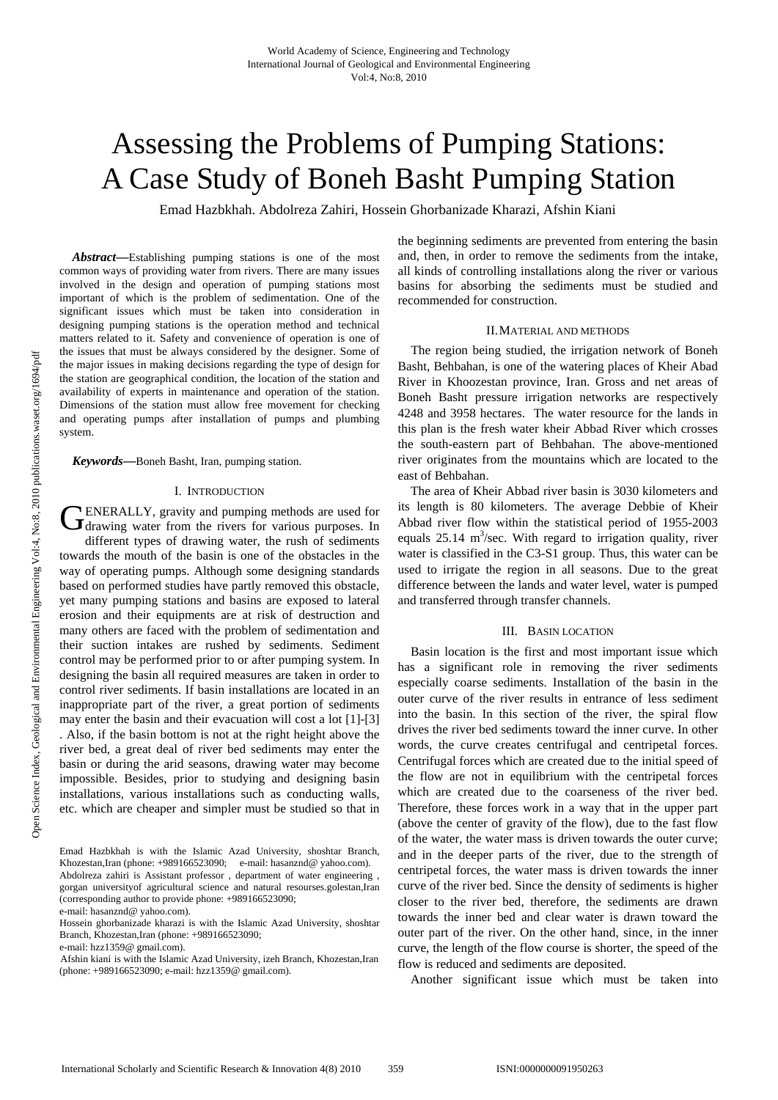# Assessing the Problems of Pumping Stations: A Case Study of Boneh Basht Pumping Station

Emad Hazbkhah. Abdolreza Zahiri, Hossein Ghorbanizade Kharazi, Afshin Kiani

*Abstract***—**Establishing pumping stations is one of the most common ways of providing water from rivers. There are many issues involved in the design and operation of pumping stations most important of which is the problem of sedimentation. One of the significant issues which must be taken into consideration in designing pumping stations is the operation method and technical matters related to it. Safety and convenience of operation is one of the issues that must be always considered by the designer. Some of the major issues in making decisions regarding the type of design for the station are geographical condition, the location of the station and availability of experts in maintenance and operation of the station. Dimensions of the station must allow free movement for checking and operating pumps after installation of pumps and plumbing system.

*Keywords***—**Boneh Basht, Iran, pumping station.

## I. INTRODUCTION

**N** ENERALLY, gravity and pumping methods are used for GENERALLY, gravity and pumping methods are used for drawing water from the rivers for various purposes. In different types of drawing water, the rush of sediments towards the mouth of the basin is one of the obstacles in the way of operating pumps. Although some designing standards based on performed studies have partly removed this obstacle, yet many pumping stations and basins are exposed to lateral erosion and their equipments are at risk of destruction and many others are faced with the problem of sedimentation and their suction intakes are rushed by sediments. Sediment control may be performed prior to or after pumping system. In designing the basin all required measures are taken in order to control river sediments. If basin installations are located in an inappropriate part of the river, a great portion of sediments may enter the basin and their evacuation will cost a lot [1]-[3] . Also, if the basin bottom is not at the right height above the river bed, a great deal of river bed sediments may enter the basin or during the arid seasons, drawing water may become impossible. Besides, prior to studying and designing basin installations, various installations such as conducting walls, etc. which are cheaper and simpler must be studied so that in

Emad Hazbkhah is with the Islamic Azad University, shoshtar Branch, Khozestan,Iran (phone: +989166523090; e-mail: hasanznd@ yahoo.com). Abdolreza zahiri is Assistant professor , department of water engineering , gorgan universityof agricultural science and natural resourses.golestan,Iran (corresponding author to provide phone: +989166523090;

the beginning sediments are prevented from entering the basin and, then, in order to remove the sediments from the intake, all kinds of controlling installations along the river or various basins for absorbing the sediments must be studied and recommended for construction.

### II.MATERIAL AND METHODS

The region being studied, the irrigation network of Boneh Basht, Behbahan, is one of the watering places of Kheir Abad River in Khoozestan province, Iran. Gross and net areas of Boneh Basht pressure irrigation networks are respectively 4248 and 3958 hectares. The water resource for the lands in this plan is the fresh water kheir Abbad River which crosses the south-eastern part of Behbahan. The above-mentioned river originates from the mountains which are located to the east of Behbahan.

The area of Kheir Abbad river basin is 3030 kilometers and its length is 80 kilometers. The average Debbie of Kheir Abbad river flow within the statistical period of 1955-2003 equals  $25.14 \text{ m}^3/\text{sec}$ . With regard to irrigation quality, river water is classified in the C3-S1 group. Thus, this water can be used to irrigate the region in all seasons. Due to the great difference between the lands and water level, water is pumped and transferred through transfer channels.

### III. BASIN LOCATION

Basin location is the first and most important issue which has a significant role in removing the river sediments especially coarse sediments. Installation of the basin in the outer curve of the river results in entrance of less sediment into the basin. In this section of the river, the spiral flow drives the river bed sediments toward the inner curve. In other words, the curve creates centrifugal and centripetal forces. Centrifugal forces which are created due to the initial speed of the flow are not in equilibrium with the centripetal forces which are created due to the coarseness of the river bed. Therefore, these forces work in a way that in the upper part (above the center of gravity of the flow), due to the fast flow of the water, the water mass is driven towards the outer curve; and in the deeper parts of the river, due to the strength of centripetal forces, the water mass is driven towards the inner curve of the river bed. Since the density of sediments is higher closer to the river bed, therefore, the sediments are drawn towards the inner bed and clear water is drawn toward the outer part of the river. On the other hand, since, in the inner curve, the length of the flow course is shorter, the speed of the flow is reduced and sediments are deposited.

Another significant issue which must be taken into

e-mail: hasanznd@ yahoo.com).

Hossein ghorbanizade kharazi is with the Islamic Azad University, shoshtar Branch, Khozestan,Iran (phone: +989166523090;

e-mail: hzz1359@ gmail.com).

Afshin kiani is with the Islamic Azad University, izeh Branch, Khozestan,Iran (phone: +989166523090; e-mail: hzz1359@ gmail.com).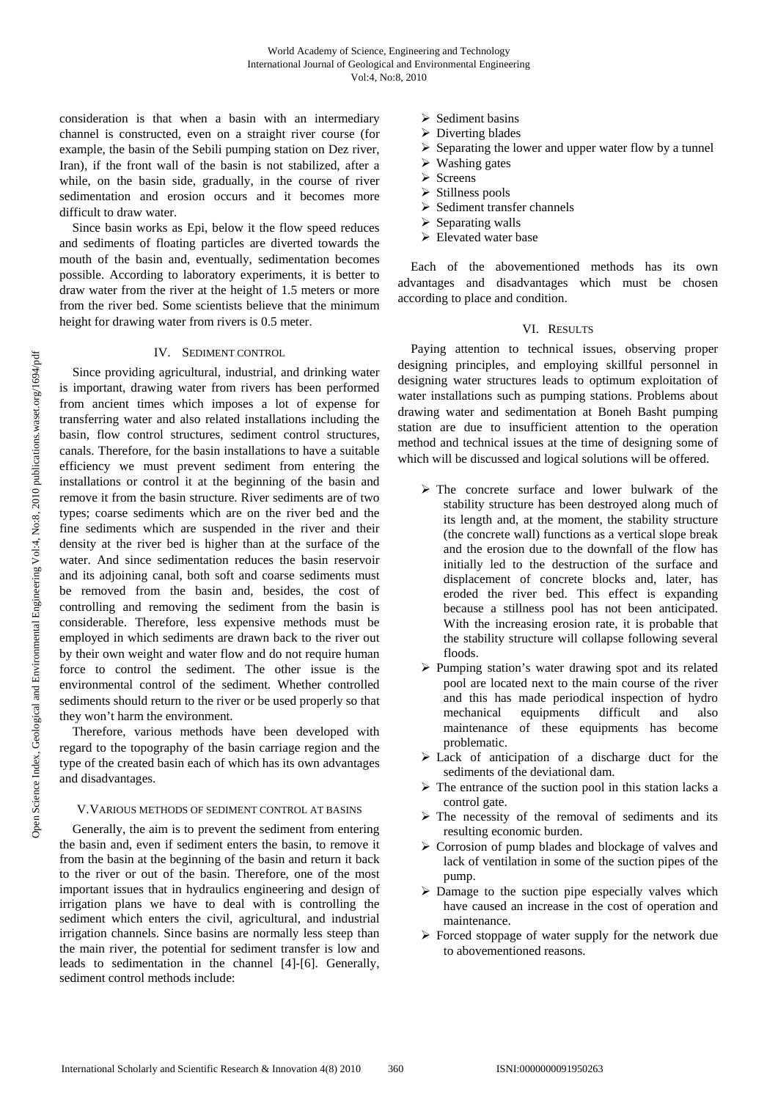consideration is that when a basin with an intermediary channel is constructed, even on a straight river course (for example, the basin of the Sebili pumping station on Dez river, Iran), if the front wall of the basin is not stabilized, after a while, on the basin side, gradually, in the course of river sedimentation and erosion occurs and it becomes more difficult to draw water.

Since basin works as Epi, below it the flow speed reduces and sediments of floating particles are diverted towards the mouth of the basin and, eventually, sedimentation becomes possible. According to laboratory experiments, it is better to draw water from the river at the height of 1.5 meters or more from the river bed. Some scientists believe that the minimum height for drawing water from rivers is 0.5 meter.

# IV. SEDIMENT CONTROL

Since providing agricultural, industrial, and drinking water is important, drawing water from rivers has been performed from ancient times which imposes a lot of expense for transferring water and also related installations including the basin, flow control structures, sediment control structures, canals. Therefore, for the basin installations to have a suitable efficiency we must prevent sediment from entering the installations or control it at the beginning of the basin and remove it from the basin structure. River sediments are of two types; coarse sediments which are on the river bed and the fine sediments which are suspended in the river and their density at the river bed is higher than at the surface of the water. And since sedimentation reduces the basin reservoir and its adjoining canal, both soft and coarse sediments must be removed from the basin and, besides, the cost of controlling and removing the sediment from the basin is considerable. Therefore, less expensive methods must be employed in which sediments are drawn back to the river out by their own weight and water flow and do not require human force to control the sediment. The other issue is the environmental control of the sediment. Whether controlled sediments should return to the river or be used properly so that they won't harm the environment.

Therefore, various methods have been developed with regard to the topography of the basin carriage region and the type of the created basin each of which has its own advantages and disadvantages.

## V.VARIOUS METHODS OF SEDIMENT CONTROL AT BASINS

Generally, the aim is to prevent the sediment from entering the basin and, even if sediment enters the basin, to remove it from the basin at the beginning of the basin and return it back to the river or out of the basin. Therefore, one of the most important issues that in hydraulics engineering and design of irrigation plans we have to deal with is controlling the sediment which enters the civil, agricultural, and industrial irrigation channels. Since basins are normally less steep than the main river, the potential for sediment transfer is low and leads to sedimentation in the channel [4]-[6]. Generally, sediment control methods include:

- $\triangleright$  Sediment basins
- $\triangleright$  Diverting blades
- $\triangleright$  Separating the lower and upper water flow by a tunnel  $\triangleright$  Washing gates
- Washing gates
- ¾ Screens
- $\triangleright$  Stillness pools
- $\triangleright$  Sediment transfer channels
- $\triangleright$  Separating walls
- $\triangleright$  Elevated water base

Each of the abovementioned methods has its own advantages and disadvantages which must be chosen according to place and condition.

# VI. RESULTS

Paying attention to technical issues, observing proper designing principles, and employing skillful personnel in designing water structures leads to optimum exploitation of water installations such as pumping stations. Problems about drawing water and sedimentation at Boneh Basht pumping station are due to insufficient attention to the operation method and technical issues at the time of designing some of which will be discussed and logical solutions will be offered.

- $\triangleright$  The concrete surface and lower bulwark of the stability structure has been destroyed along much of its length and, at the moment, the stability structure (the concrete wall) functions as a vertical slope break and the erosion due to the downfall of the flow has initially led to the destruction of the surface and displacement of concrete blocks and, later, has eroded the river bed. This effect is expanding because a stillness pool has not been anticipated. With the increasing erosion rate, it is probable that the stability structure will collapse following several floods.
- $\triangleright$  Pumping station's water drawing spot and its related pool are located next to the main course of the river and this has made periodical inspection of hydro mechanical equipments difficult and also maintenance of these equipments has become problematic.
- $\triangleright$  Lack of anticipation of a discharge duct for the sediments of the deviational dam.
- $\triangleright$  The entrance of the suction pool in this station lacks a control gate.
- $\triangleright$  The necessity of the removal of sediments and its resulting economic burden.
- $\triangleright$  Corrosion of pump blades and blockage of valves and lack of ventilation in some of the suction pipes of the pump.
- $\triangleright$  Damage to the suction pipe especially valves which have caused an increase in the cost of operation and maintenance.
- $\triangleright$  Forced stoppage of water supply for the network due to abovementioned reasons.